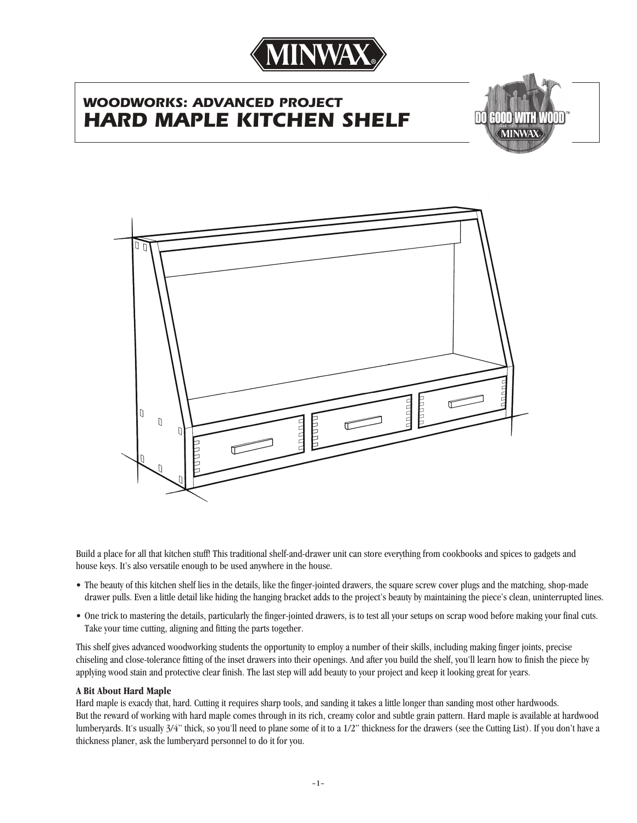

# *WOODWORKS: ADVANCED PROJECT* **HARD MAPLE KITCHEN SHE**





Build a place for all that kitchen stuff! This traditional shelf-and-drawer unit can store everything from cookbooks and spices to gadgets and house keys. It's also versatile enough to be used anywhere in the house.

- The beauty of this kitchen shelf lies in the details, like the finger-jointed drawers, the square screw cover plugs and the matching, shop-made drawer pulls. Even a little detail like hiding the hanging bracket adds to the project's beauty by maintaining the piece's clean, uninterrupted lines.
- One trick to mastering the details, particularly the finger-jointed drawers, is to test all your setups on scrap wood before making your final cuts. Take your time cutting, aligning and fitting the parts together.

This shelf gives advanced woodworking students the opportunity to employ a number of their skills, including making finger joints, precise chiseling and close-tolerance fitting of the inset drawers into their openings. And after you build the shelf, you'll learn how to finish the piece by applying wood stain and protective clear finish. The last step will add beauty to your project and keep it looking great for years.

### **A Bit About Hard Maple**

Hard maple is exacdy that, hard. Cutting it requires sharp tools, and sanding it takes a little longer than sanding most other hardwoods. But the reward of working with hard maple comes through in its rich, creamy color and subtle grain pattern. Hard maple is available at hardwood lumberyards. It's usually 3/4" thick, so you'll need to plane some of it to a 1/2" thickness for the drawers (see the Cutting List). If you don't have a thickness planer, ask the lumberyard personnel to do it for you.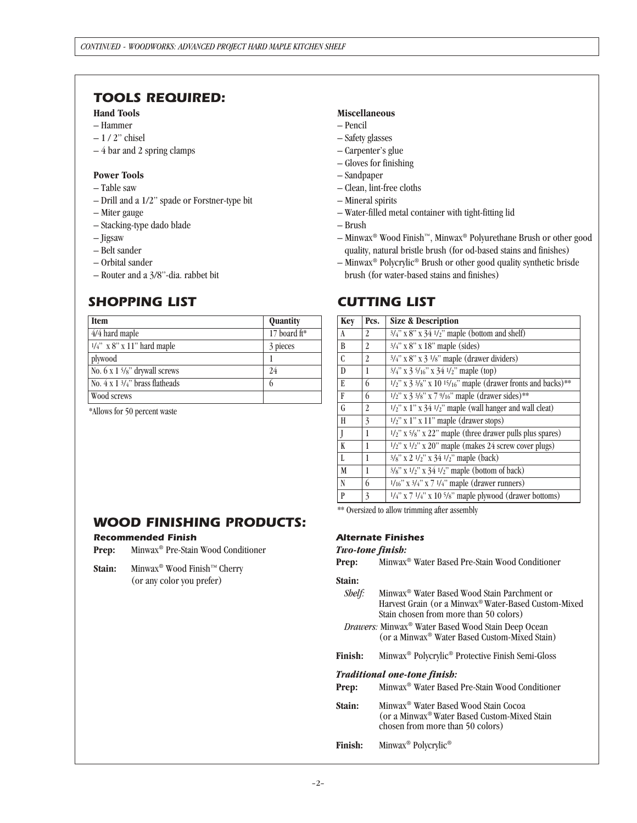## *TOOLS REQUIRED:*

## **Hand Tools**

- Hammer
- 1 / 2" chisel
- 4 bar and 2 spring clamps

## **Power Tools**

- Table saw
- Drill and a 1/2" spade or Forstner-type bit
- Miter gauge
- Stacking-type dado blade
- Jigsaw
- Belt sander
- Orbital sander
- Router and a 3/8"-dia. rabbet bit

# *SHOPPING LIST*

| <b>Item</b>                                   | Quantity     |  |
|-----------------------------------------------|--------------|--|
| 4/4 hard maple                                | 17 board ft* |  |
| $1/4$ " x 8" x 11" hard maple                 | 3 pieces     |  |
| plywood                                       |              |  |
| No. 6 x 1 5/8" drywall screws                 | 24           |  |
| No. $4 \times 1\frac{3}{4}$ " brass flatheads | 6            |  |
| Wood screws                                   |              |  |

\*Allows for 50 percent waste

*Recommended Finish*

## **Miscellaneous**

- Pencil
- Safety glasses
- Carpenter's glue
- Gloves for finishing
- Sandpaper
- Clean, lint-free cloths
- Mineral spirits
- Water-filled metal container with tight-fitting lid
- Brush
- Minwax® Wood Finish™, Minwax® Polyurethane Brush or other good quality, natural bristle brush (for od-based stains and finishes)
- Minwax® Polycrylic® Brush or other good quality synthetic brisde brush (for water-based stains and finishes)

## *CUTTING LIST*

| <b>Key</b>    | Pcs.           | <b>Size &amp; Description</b>                                                           |
|---------------|----------------|-----------------------------------------------------------------------------------------|
| A             | 2              | $3/4$ " x 8" x $34$ $1/2$ " maple (bottom and shelf)                                    |
| B             | 2              | 3/4" x 8" x 18" maple (sides)                                                           |
| $\mathcal{C}$ | 2              | $3/4$ " x 8" x 3 $1/8$ " maple (drawer dividers)                                        |
| $\mathbf{D}$  | 1              | $3/4$ " x 3 $5/16$ " x 34 $1/2$ " maple (top)                                           |
| E             | 6              | $1/2$ " x 3 3/8" x 10 15/16" maple (drawer fronts and backs)**                          |
| F             | 6              | $1/2$ " x 3 3/8" x 7 9/16" maple (drawer sides)**                                       |
| G             | $\mathfrak{D}$ | $1/2$ " x 1" x 34 $1/2$ " maple (wall hanger and wall cleat)                            |
| H             | 3              | $1/2$ " x 1" x 11" maple (drawer stops)                                                 |
| J             | 1              | $1/2$ " x $5/8$ " x 22" maple (three drawer pulls plus spares)                          |
| K             | 1              | $1/2$ " x $1/2$ " x 20" maple (makes 24 screw cover plugs)                              |
| L             | 1              | 3/8" x 2 1/2" x 34 1/2" maple (back)                                                    |
| M             | 1              | $3/s$ " x $1/2$ " x $34$ $1/2$ " maple (bottom of back)                                 |
| N             | 6              | $1/16$ " x $3/4$ " x 7 $1/4$ " maple (drawer runners)                                   |
| P             | 3              | $\frac{1}{4}$ " x 7 $\frac{1}{4}$ " x 10 $\frac{5}{8}$ " maple plywood (drawer bottoms) |

\*\* Oversized to allow trimming after assembly

## *Alternate Finishes*

#### *Two-tone finish:*

**Prep:** Minwax® Water Based Pre-Stain Wood Conditioner

#### **Stain:**

- *Shelf:* Minwax® Water Based Wood Stain Parchment or Harvest Grain (or a Minwax® Water-Based Custom-Mixed Stain chosen from more than 50 colors)
- *Drawers:* Minwax® Water Based Wood Stain Deep Ocean (or a Minwax® Water Based Custom-Mixed Stain)
- **Finish:** Minwax® Polycrylic® Protective Finish Semi-Gloss

#### *Traditional one-tone finish:*

- **Prep:** Minwax® Water Based Pre-Stain Wood Conditioner
- **Stain:** Minwax® Water Based Wood Stain Cocoa (or a Minwax® Water Based Custom-Mixed Stain chosen from more than 50 colors)
- **Finish:** Minwax® Polycrylic®

## **Stain:** Minwax® Wood Finish™ Cherry (or any color you prefer)

*WOOD FINISHING PRODUCTS:*

**Prep:** Minwax® Pre-Stain Wood Conditioner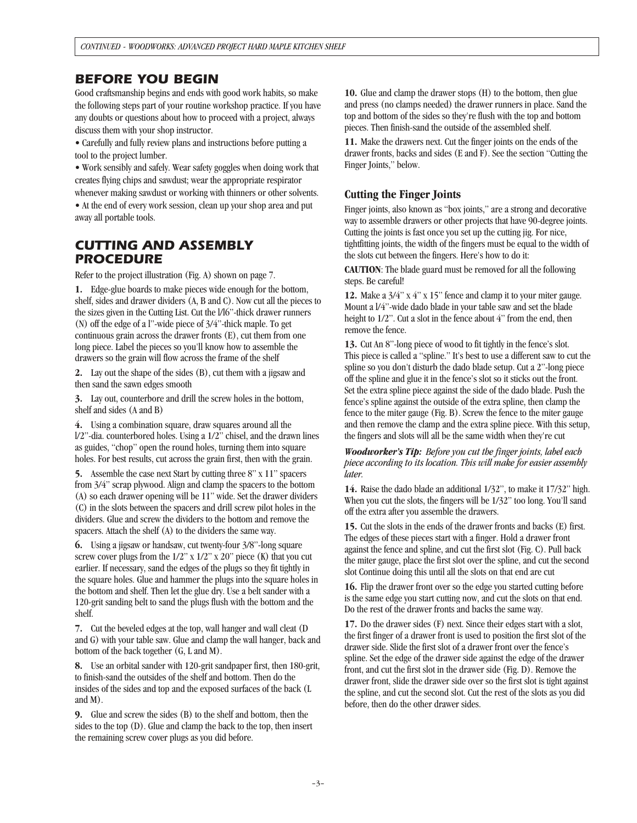## *BEFORE YOU BEGIN*

Good craftsmanship begins and ends with good work habits, so make the following steps part of your routine workshop practice. If you have any doubts or questions about how to proceed with a project, always discuss them with your shop instructor.

• Carefully and fully review plans and instructions before putting a tool to the project lumber.

• Work sensibly and safely. Wear safety goggles when doing work that creates flying chips and sawdust; wear the appropriate respirator whenever making sawdust or working with thinners or other solvents. • At the end of every work session, clean up your shop area and put away all portable tools.

## *CUTTING AND ASSEMBLY PROCEDURE*

Refer to the project illustration (Fig. A) shown on page 7.

**1.** Edge-glue boards to make pieces wide enough for the bottom, shelf, sides and drawer dividers (A, B and C). Now cut all the pieces to the sizes given in the Cutting List. Cut the l/l6"-thick drawer runners (N) off the edge of a l"-wide piece of 3/4"-thick maple. To get continuous grain across the drawer fronts (E), cut them from one long piece. Label the pieces so you'll know how to assemble the drawers so the grain will flow across the frame of the shelf

**2.** Lay out the shape of the sides (B), cut them with a jigsaw and then sand the sawn edges smooth

**3.** Lay out, counterbore and drill the screw holes in the bottom, shelf and sides (A and B)

**4.** Using a combination square, draw squares around all the l/2"-dia. counterbored holes. Using a 1/2" chisel, and the drawn lines as guides, "chop" open the round holes, turning them into square holes. For best results, cut across the grain first, then with the grain.

**5.** Assemble the case next Start by cutting three 8" x 11" spacers from 3/4" scrap plywood. Align and clamp the spacers to the bottom (A) so each drawer opening will be 11" wide. Set the drawer dividers (C) in the slots between the spacers and drill screw pilot holes in the dividers. Glue and screw the dividers to the bottom and remove the spacers. Attach the shelf (A) to the dividers the same way.

**6.** Using a jigsaw or handsaw, cut twenty-four 3/8"-long square screw cover plugs from the  $1/2$ " x  $1/2$ " x  $20$ " piece (K) that you cut earlier. If necessary, sand the edges of the plugs so they fit tightly in the square holes. Glue and hammer the plugs into the square holes in the bottom and shelf. Then let the glue dry. Use a belt sander with a 120-grit sanding belt to sand the plugs flush with the bottom and the shelf.

**7.** Cut the beveled edges at the top, wall hanger and wall cleat (D and G) with your table saw. Glue and clamp the wall hanger, back and bottom of the back together (G, L and M).

**8.** Use an orbital sander with 120-grit sandpaper first, then 180-grit, to finish-sand the outsides of the shelf and bottom. Then do the insides of the sides and top and the exposed surfaces of the back (L and M).

**9.** Glue and screw the sides (B) to the shelf and bottom, then the sides to the top (D). Glue and clamp the back to the top, then insert the remaining screw cover plugs as you did before.

**10.** Glue and clamp the drawer stops (H) to the bottom, then glue and press (no clamps needed) the drawer runners in place. Sand the top and bottom of the sides so they're flush with the top and bottom pieces. Then finish-sand the outside of the assembled shelf.

**11.** Make the drawers next. Cut the finger joints on the ends of the drawer fronts, backs and sides (E and F). See the section "Cutting the Finger Joints," below.

## **Cutting the Finger Joints**

Finger joints, also known as "box joints," are a strong and decorative way to assemble drawers or other projects that have 90-degree joints. Cutting the joints is fast once you set up the cutting jig. For nice, tightfitting joints, the width of the fingers must be equal to the width of the slots cut between the fingers. Here's how to do it:

**CAUTION**: The blade guard must be removed for all the following steps. Be careful!

**12.** Make a 3/4" x 4" x 15" fence and clamp it to your miter gauge. Mount a l/4"-wide dado blade in your table saw and set the blade height to  $1/2$ ". Cut a slot in the fence about 4" from the end, then remove the fence.

**13.** Cut An 8"-long piece of wood to fit tightly in the fence's slot. This piece is called a "spline." It's best to use a different saw to cut the spline so you don't disturb the dado blade setup. Cut a 2"-long piece off the spline and glue it in the fence's slot so it sticks out the front. Set the extra spline piece against the side of the dado blade. Push the fence's spline against the outside of the extra spline, then clamp the fence to the miter gauge (Fig. B). Screw the fence to the miter gauge and then remove the clamp and the extra spline piece. With this setup, the fingers and slots will all be the same width when they're cut

*Woodworker's Tip: Before you cut the finger joints, label each piece according to its location. This will make for easier assembly later.*

**14.** Raise the dado blade an additional 1/32", to make it 17/32" high. When you cut the slots, the fingers will be 1/32" too long. You'll sand off the extra after you assemble the drawers.

**15.** Cut the slots in the ends of the drawer fronts and backs (E) first. The edges of these pieces start with a finger. Hold a drawer front against the fence and spline, and cut the first slot (Fig. C). Pull back the miter gauge, place the first slot over the spline, and cut the second slot Continue doing this until all the slots on that end are cut

**16.** Flip the drawer front over so the edge you started cutting before is the same edge you start cutting now, and cut the slots on that end. Do the rest of the drawer fronts and backs the same way.

**17.** Do the drawer sides (F) next. Since their edges start with a slot, the first finger of a drawer front is used to position the first slot of the drawer side. Slide the first slot of a drawer front over the fence's spline. Set the edge of the drawer side against the edge of the drawer front, and cut the first slot in the drawer side (Fig. D). Remove the drawer front, slide the drawer side over so the first slot is tight against the spline, and cut the second slot. Cut the rest of the slots as you did before, then do the other drawer sides.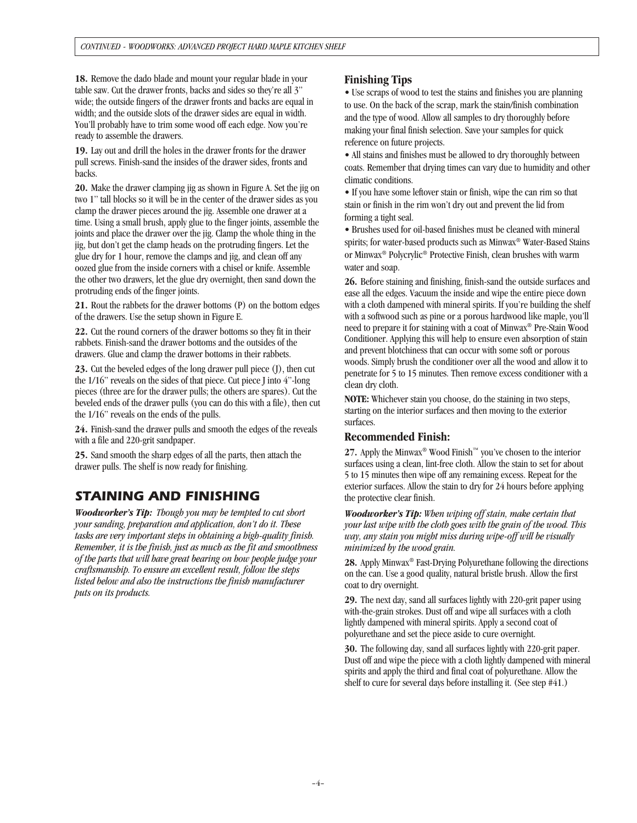**18.** Remove the dado blade and mount your regular blade in your table saw. Cut the drawer fronts, backs and sides so they're all 3" wide; the outside fingers of the drawer fronts and backs are equal in width; and the outside slots of the drawer sides are equal in width. You'll probably have to trim some wood off each edge. Now you're ready to assemble the drawers.

**19.** Lay out and drill the holes in the drawer fronts for the drawer pull screws. Finish-sand the insides of the drawer sides, fronts and backs.

**20.** Make the drawer clamping jig as shown in Figure A. Set the jig on two 1" tall blocks so it will be in the center of the drawer sides as you clamp the drawer pieces around the jig. Assemble one drawer at a time. Using a small brush, apply glue to the finger joints, assemble the joints and place the drawer over the jig. Clamp the whole thing in the jig, but don't get the clamp heads on the protruding fingers. Let the glue dry for 1 hour, remove the clamps and jig, and clean off any oozed glue from the inside corners with a chisel or knife. Assemble the other two drawers, let the glue dry overnight, then sand down the protruding ends of the finger joints.

**21.** Rout the rabbets for the drawer bottoms (P) on the bottom edges of the drawers. Use the setup shown in Figure E.

**22.** Cut the round corners of the drawer bottoms so they fit in their rabbets. Finish-sand the drawer bottoms and the outsides of the drawers. Glue and clamp the drawer bottoms in their rabbets.

**23.** Cut the beveled edges of the long drawer pull piece (J), then cut the 1/16" reveals on the sides of that piece. Cut piece J into 4"-long pieces (three are for the drawer pulls; the others are spares). Cut the beveled ends of the drawer pulls (you can do this with a file), then cut the 1/16" reveals on the ends of the pulls.

**24.** Finish-sand the drawer pulls and smooth the edges of the reveals with a file and 220-grit sandpaper.

**25.** Sand smooth the sharp edges of all the parts, then attach the drawer pulls. The shelf is now ready for finishing.

# *STAINING AND FINISHING*

*Woodworker's Tip: Though you may be tempted to cut short your sanding, preparation and application, don't do it. These tasks are very important steps in obtaining a high-quality finish. Remember, it is the finish, just as much as the fit and smoothness of the parts that will have great bearing on how people judge your craftsmanship. To ensure an excellent result, follow the steps listed below and also the instructions the finish manufacturer puts on its products.*

## **Finishing Tips**

• Use scraps of wood to test the stains and finishes you are planning to use. On the back of the scrap, mark the stain/finish combination and the type of wood. Allow all samples to dry thoroughly before making your final finish selection. Save your samples for quick reference on future projects.

• All stains and finishes must be allowed to dry thoroughly between coats. Remember that drying times can vary due to humidity and other climatic conditions.

• If you have some leftover stain or finish, wipe the can rim so that stain or finish in the rim won't dry out and prevent the lid from forming a tight seal.

• Brushes used for oil-based finishes must be cleaned with mineral spirits; for water-based products such as Minwax® Water-Based Stains or Minwax® Polycrylic® Protective Finish, clean brushes with warm water and soap.

**26.** Before staining and finishing, finish-sand the outside surfaces and ease all the edges. Vacuum the inside and wipe the entire piece down with a cloth dampened with mineral spirits. If you're building the shelf with a softwood such as pine or a porous hardwood like maple, you'll need to prepare it for staining with a coat of Minwax® Pre-Stain Wood Conditioner. Applying this will help to ensure even absorption of stain and prevent blotchiness that can occur with some soft or porous woods. Simply brush the conditioner over all the wood and allow it to penetrate for 5 to 15 minutes. Then remove excess conditioner with a clean dry cloth.

**NOTE:** Whichever stain you choose, do the staining in two steps, starting on the interior surfaces and then moving to the exterior surfaces.

## **Recommended Finish:**

**27.** Apply the Minwax® Wood Finish™ you've chosen to the interior surfaces using a clean, lint-free cloth. Allow the stain to set for about 5 to 15 minutes then wipe off any remaining excess. Repeat for the exterior surfaces. Allow the stain to dry for 24 hours before applying the protective clear finish.

*Woodworker's Tip: When wiping off stain, make certain that your last wipe with the cloth goes with the grain of the wood. This way, any stain you might miss during wipe-off will be visually minimized by the wood grain.*

**28.** Apply Minwax® Fast-Drying Polyurethane following the directions on the can. Use a good quality, natural bristle brush. Allow the first coat to dry overnight.

**29.** The next day, sand all surfaces lightly with 220-grit paper using with-the-grain strokes. Dust off and wipe all surfaces with a cloth lightly dampened with mineral spirits. Apply a second coat of polyurethane and set the piece aside to cure overnight.

**30.** The following day, sand all surfaces lightly with 220-grit paper. Dust off and wipe the piece with a cloth lightly dampened with mineral spirits and apply the third and final coat of polyurethane. Allow the shelf to cure for several days before installing it. (See step #41.)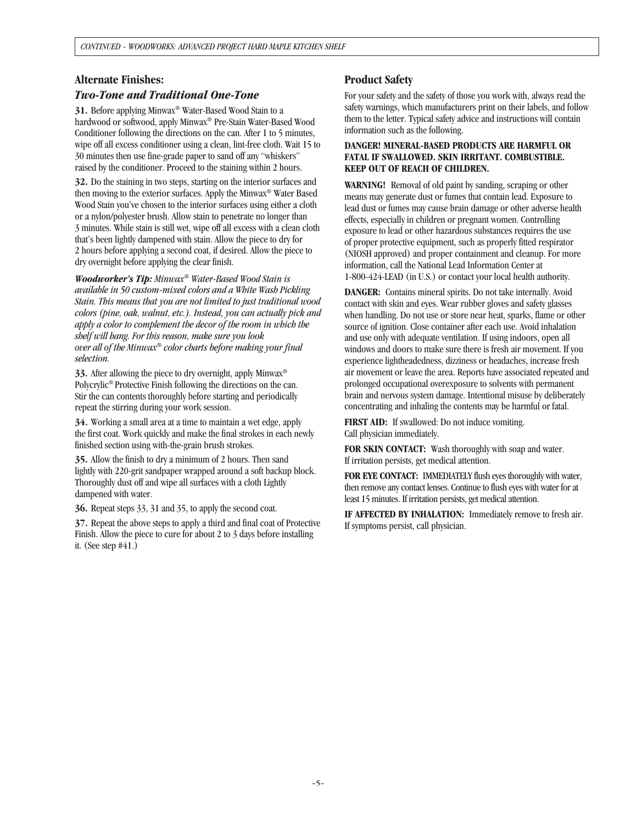## **Alternate Finishes:**

## *Two-Tone and Traditional One-Tone*

**31.** Before applying Minwax® Water-Based Wood Stain to a hardwood or softwood, apply Minwax® Pre-Stain Water-Based Wood Conditioner following the directions on the can. After 1 to 5 minutes, wipe off all excess conditioner using a clean, lint-free cloth. Wait 15 to 30 minutes then use fine-grade paper to sand off any "whiskers" raised by the conditioner. Proceed to the staining within 2 hours.

**32.** Do the staining in two steps, starting on the interior surfaces and then moving to the exterior surfaces. Apply the Minwax® Water Based Wood Stain you've chosen to the interior surfaces using either a cloth or a nylon/polyester brush. Allow stain to penetrate no longer than 3 minutes. While stain is still wet, wipe off all excess with a clean cloth that's been lightly dampened with stain. Allow the piece to dry for 2 hours before applying a second coat, if desired. Allow the piece to dry overnight before applying the clear finish.

*Woodworker's Tip: Minwax® Water-Based Wood Stain is available in 50 custom-mixed colors and a White Wash Pickling Stain. This means that you are not limited to just traditional wood colors (pine, oak, walnut, etc.). Instead, you can actually pick and apply a color to complement the decor of the room in which the shelf will hang. For this reason, make sure you look over all of the Minwax® color charts before making your final selection.*

**33.** After allowing the piece to dry overnight, apply Minwax® Polycrylic® Protective Finish following the directions on the can. Stir the can contents thoroughly before starting and periodically repeat the stirring during your work session.

**34.** Working a small area at a time to maintain a wet edge, apply the first coat. Work quickly and make the final strokes in each newly finished section using with-the-grain brush strokes.

**35.** Allow the finish to dry a minimum of 2 hours. Then sand lightly with 220-grit sandpaper wrapped around a soft backup block. Thoroughly dust off and wipe all surfaces with a cloth Lightly dampened with water.

**36.** Repeat steps 33, 31 and 35, to apply the second coat.

**37.** Repeat the above steps to apply a third and final coat of Protective Finish. Allow the piece to cure for about 2 to 3 days before installing it. (See step #41.)

## **Product Safety**

For your safety and the safety of those you work with, always read the safety warnings, which manufacturers print on their labels, and follow them to the letter. Typical safety advice and instructions will contain information such as the following.

### **DANGER! MINERAL-BASED PRODUCTS ARE HARMFUL OR FATAL IF SWALLOWED. SKIN IRRITANT. COMBUSTIBLE. KEEP OUT OF REACH OF CHILDREN.**

**WARNING!** Removal of old paint by sanding, scraping or other means may generate dust or fumes that contain lead. Exposure to lead dust or fumes may cause brain damage or other adverse health effects, especially in children or pregnant women. Controlling exposure to lead or other hazardous substances requires the use of proper protective equipment, such as properly fitted respirator (NIOSH approved) and proper containment and cleanup. For more information, call the National Lead Information Center at 1-800-424-LEAD (in U.S.) or contact your local health authority.

**DANGER:** Contains mineral spirits. Do not take internally. Avoid contact with skin and eyes. Wear rubber gloves and safety glasses when handling. Do not use or store near heat, sparks, flame or other source of ignition. Close container after each use. Avoid inhalation and use only with adequate ventilation. If using indoors, open all windows and doors to make sure there is fresh air movement. If you experience lightheadedness, dizziness or headaches, increase fresh air movement or leave the area. Reports have associated repeated and prolonged occupational overexposure to solvents with permanent brain and nervous system damage. Intentional misuse by deliberately concentrating and inhaling the contents may be harmful or fatal.

**FIRST AID:** If swallowed: Do not induce vomiting. Call physician immediately.

**FOR SKIN CONTACT:** Wash thoroughly with soap and water. If irritation persists, get medical attention.

**FOR EYE CONTACT:** IMMEDIATELY flush eyes thoroughly with water, then remove any contact lenses. Continue to flush eyes with water for at least 15 minutes. If irritation persists, get medical attention.

**IF AFFECTED BY INHALATION:** Immediately remove to fresh air. If symptoms persist, call physician.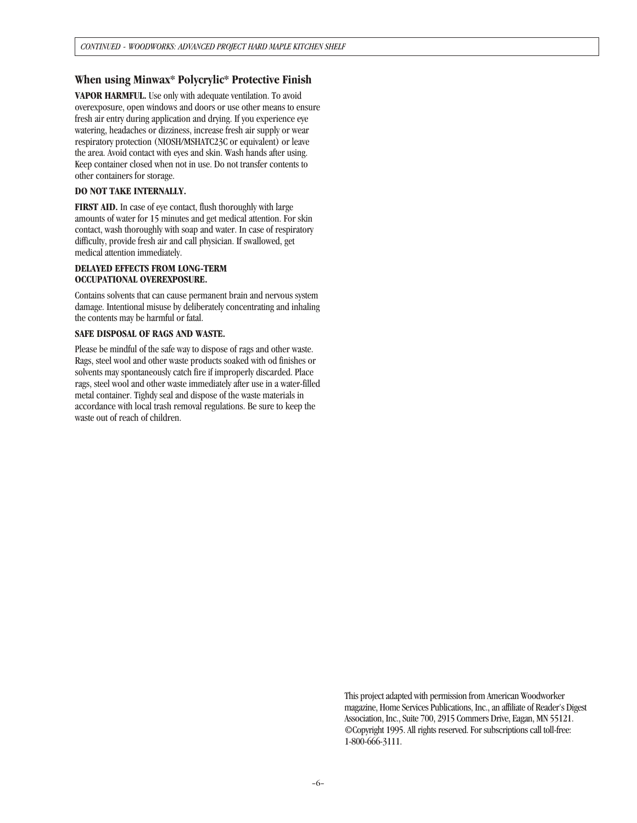## **When using Minwax\* Polycrylic\* Protective Finish**

**VAPOR HARMFUL.** Use only with adequate ventilation. To avoid overexposure, open windows and doors or use other means to ensure fresh air entry during application and drying. If you experience eye watering, headaches or dizziness, increase fresh air supply or wear respiratory protection (NIOSH/MSHATC23C or equivalent) or leave the area. Avoid contact with eyes and skin. Wash hands after using. Keep container closed when not in use. Do not transfer contents to other containers for storage.

#### **DO NOT TAKE INTERNALLY.**

**FIRST AID.** In case of eye contact, flush thoroughly with large amounts of water for 15 minutes and get medical attention. For skin contact, wash thoroughly with soap and water. In case of respiratory difficulty, provide fresh air and call physician. If swallowed, get medical attention immediately.

#### **DELAYED EFFECTS FROM LONG-TERM OCCUPATIONAL OVEREXPOSURE.**

Contains solvents that can cause permanent brain and nervous system damage. Intentional misuse by deliberately concentrating and inhaling the contents may be harmful or fatal.

#### **SAFE DISPOSAL OF RAGS AND WASTE.**

Please be mindful of the safe way to dispose of rags and other waste. Rags, steel wool and other waste products soaked with od finishes or solvents may spontaneously catch fire if improperly discarded. Place rags, steel wool and other waste immediately after use in a water-filled metal container. Tighdy seal and dispose of the waste materials in accordance with local trash removal regulations. Be sure to keep the waste out of reach of children.

> This project adapted with permission from American Woodworker magazine, Home Services Publications, Inc., an affiliate of Reader's Digest Association, Inc., Suite 700, 2915 Commers Drive, Eagan, MN 55121. ©Copyright 1995. All rights reserved. For subscriptions call toll-free: 1-800-666-3111.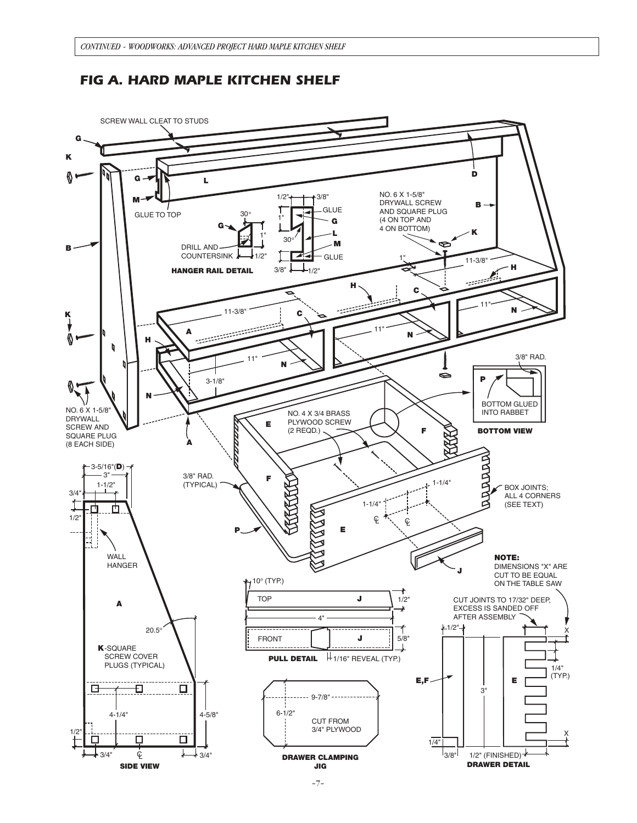